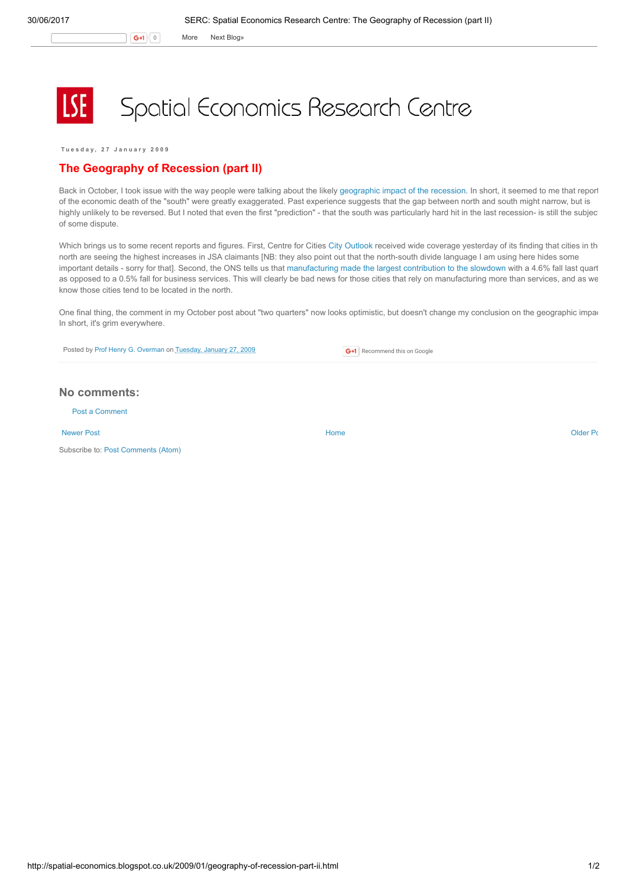G+1 0 More Next [Blog»](https://www.blogger.com/next-blog?navBar=true&blogID=974562301377041914)

## Spatial Economics Research Centre

Tuesday, 27 January 2009

## The Geography of Recession (part II)

Back in October, I took issue with the way people were talking about the likely [geographic](http://spatial-economics.blogspot.com/2008/10/geography-of-recession.html) impact of the recession. In short, it seemed to me that report of the economic death of the "south" were greatly exaggerated. Past experience suggests that the gap between north and south might narrow, but is highly unlikely to be reversed. But I noted that even the first "prediction" - that the south was particularly hard hit in the last recession- is still the subjec of some dispute.

Which brings us to some recent reports and figures. First, Centre for Cities City [Outlook](http://www.centreforcities.org/assets/files/Cities%20Outlook%202009.pdf) received wide coverage yesterday of its finding that cities in th north are seeing the highest increases in JSA claimants [NB: they also point out that the north-south divide language I am using here hides some important details - sorry for that]. Second, the ONS tells us that [manufacturing](http://www.statistics.gov.uk/cci/nugget.asp?id=192) made the largest contribution to the slowdown with a 4.6% fall last quart as opposed to a 0.5% fall for business services. This will clearly be bad news for those cities that rely on manufacturing more than services, and as we know those cities tend to be located in the north.

One final thing, the comment in my October post about "two quarters" now looks optimistic, but doesn't change my conclusion on the geographic impart In short, it's grim everywhere.

Posted by Prof Henry G. [Overman](https://www.blogger.com/profile/15203876610491317062) on [Tuesday,](http://spatial-economics.blogspot.co.uk/2009/01/geography-of-recession-part-ii.html) January 27, 2009

**G+1** Recommend this on Google

## No comments:

Post a [Comment](https://www.blogger.com/comment.g?blogID=974562301377041914&postID=4866556406528223395)

[Newer](http://spatial-economics.blogspot.co.uk/2009/02/local-authorities-and-downturn.html) Post **New Account Contract Account Contract Account Contract Account Contract Account Contract [Older](http://spatial-economics.blogspot.co.uk/2009/01/golden-handcuffs-teacher-recruitment.html) Post** 

Subscribe to: Post [Comments](http://spatial-economics.blogspot.com/feeds/4866556406528223395/comments/default) (Atom)